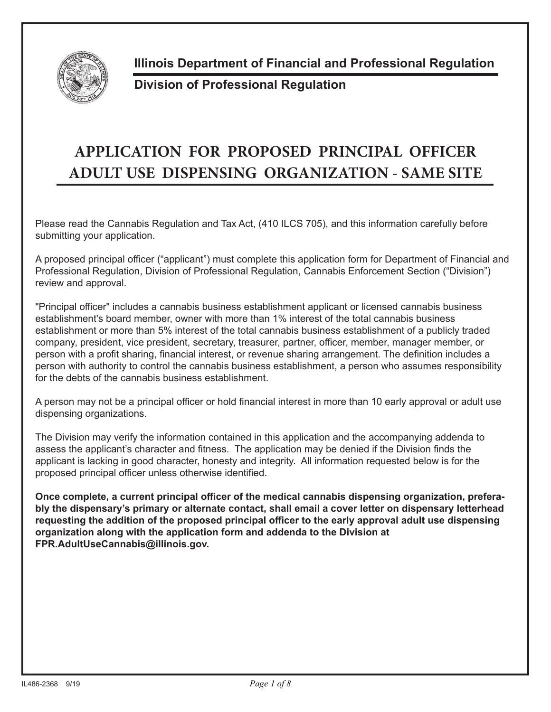

**Illinois Department of Financial and Professional Regulation**

## **Division of Professional Regulation**

## **APPLICATION FOR PROPOSED PRINCIPAL OFFICER ADULT USE DISPENSING ORGANIZATION - SAME SITE**

Please read the Cannabis Regulation and Tax Act, (410 ILCS 705), and this information carefully before submitting your application.

A proposed principal officer ("applicant") must complete this application form for Department of Financial and Professional Regulation, Division of Professional Regulation, Cannabis Enforcement Section ("Division") review and approval.

"Principal officer" includes a cannabis business establishment applicant or licensed cannabis business establishment's board member, owner with more than 1% interest of the total cannabis business establishment or more than 5% interest of the total cannabis business establishment of a publicly traded company, president, vice president, secretary, treasurer, partner, officer, member, manager member, or person with a profit sharing, financial interest, or revenue sharing arrangement. The definition includes a person with authority to control the cannabis business establishment, a person who assumes responsibility for the debts of the cannabis business establishment.

A person may not be a principal officer or hold financial interest in more than 10 early approval or adult use dispensing organizations.

The Division may verify the information contained in this application and the accompanying addenda to assess the applicant's character and fitness. The application may be denied if the Division finds the applicant is lacking in good character, honesty and integrity. All information requested below is for the proposed principal officer unless otherwise identified.

**Once complete, a current principal officer of the medical cannabis dispensing organization, preferably the dispensary's primary or alternate contact, shall email a cover letter on dispensary letterhead requesting the addition of the proposed principal officer to the early approval adult use dispensing organization along with the application form and addenda to the Division at FPR.AdultUseCannabis@illinois.gov.**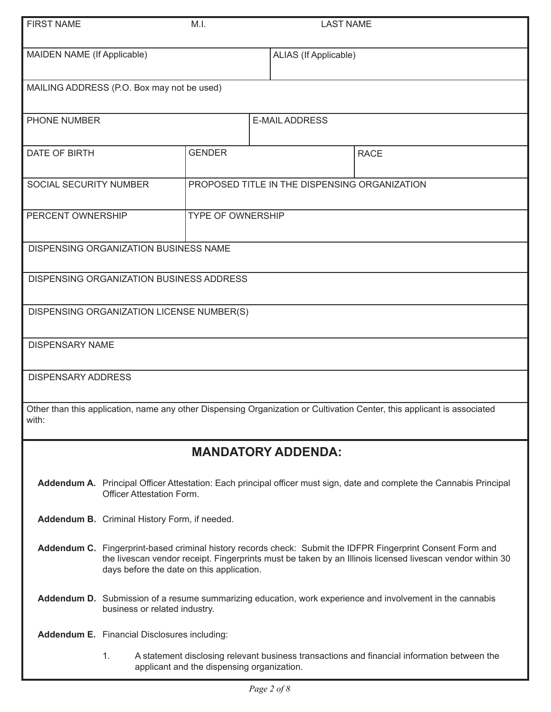| <b>FIRST NAME</b>                     |                                                                                                                                                                                                                                                                       | M.I.                                       | <b>LAST NAME</b>                              |                                                                                                                         |  |  |
|---------------------------------------|-----------------------------------------------------------------------------------------------------------------------------------------------------------------------------------------------------------------------------------------------------------------------|--------------------------------------------|-----------------------------------------------|-------------------------------------------------------------------------------------------------------------------------|--|--|
| MAIDEN NAME (If Applicable)           |                                                                                                                                                                                                                                                                       |                                            |                                               | ALIAS (If Applicable)                                                                                                   |  |  |
|                                       | MAILING ADDRESS (P.O. Box may not be used)                                                                                                                                                                                                                            |                                            |                                               |                                                                                                                         |  |  |
| PHONE NUMBER<br><b>E-MAIL ADDRESS</b> |                                                                                                                                                                                                                                                                       |                                            |                                               |                                                                                                                         |  |  |
| DATE OF BIRTH                         |                                                                                                                                                                                                                                                                       | <b>GENDER</b>                              | <b>RACE</b>                                   |                                                                                                                         |  |  |
| SOCIAL SECURITY NUMBER                |                                                                                                                                                                                                                                                                       |                                            | PROPOSED TITLE IN THE DISPENSING ORGANIZATION |                                                                                                                         |  |  |
| PERCENT OWNERSHIP                     |                                                                                                                                                                                                                                                                       | <b>TYPE OF OWNERSHIP</b>                   |                                               |                                                                                                                         |  |  |
|                                       | <b>DISPENSING ORGANIZATION BUSINESS NAME</b>                                                                                                                                                                                                                          |                                            |                                               |                                                                                                                         |  |  |
|                                       | DISPENSING ORGANIZATION BUSINESS ADDRESS                                                                                                                                                                                                                              |                                            |                                               |                                                                                                                         |  |  |
|                                       | DISPENSING ORGANIZATION LICENSE NUMBER(S)                                                                                                                                                                                                                             |                                            |                                               |                                                                                                                         |  |  |
| <b>DISPENSARY NAME</b>                |                                                                                                                                                                                                                                                                       |                                            |                                               |                                                                                                                         |  |  |
| <b>DISPENSARY ADDRESS</b>             |                                                                                                                                                                                                                                                                       |                                            |                                               |                                                                                                                         |  |  |
| with:                                 |                                                                                                                                                                                                                                                                       |                                            |                                               | Other than this application, name any other Dispensing Organization or Cultivation Center, this applicant is associated |  |  |
|                                       |                                                                                                                                                                                                                                                                       |                                            | <b>MANDATORY ADDENDA:</b>                     |                                                                                                                         |  |  |
|                                       | <b>Officer Attestation Form.</b>                                                                                                                                                                                                                                      |                                            |                                               | Addendum A. Principal Officer Attestation: Each principal officer must sign, date and complete the Cannabis Principal   |  |  |
|                                       | Addendum B. Criminal History Form, if needed.                                                                                                                                                                                                                         |                                            |                                               |                                                                                                                         |  |  |
|                                       | Addendum C. Fingerprint-based criminal history records check: Submit the IDFPR Fingerprint Consent Form and<br>the livescan vendor receipt. Fingerprints must be taken by an Illinois licensed livescan vendor within 30<br>days before the date on this application. |                                            |                                               |                                                                                                                         |  |  |
|                                       | Addendum D. Submission of a resume summarizing education, work experience and involvement in the cannabis<br>business or related industry.                                                                                                                            |                                            |                                               |                                                                                                                         |  |  |
|                                       | <b>Addendum E.</b> Financial Disclosures including:                                                                                                                                                                                                                   |                                            |                                               |                                                                                                                         |  |  |
|                                       | 1.                                                                                                                                                                                                                                                                    | applicant and the dispensing organization. |                                               | A statement disclosing relevant business transactions and financial information between the                             |  |  |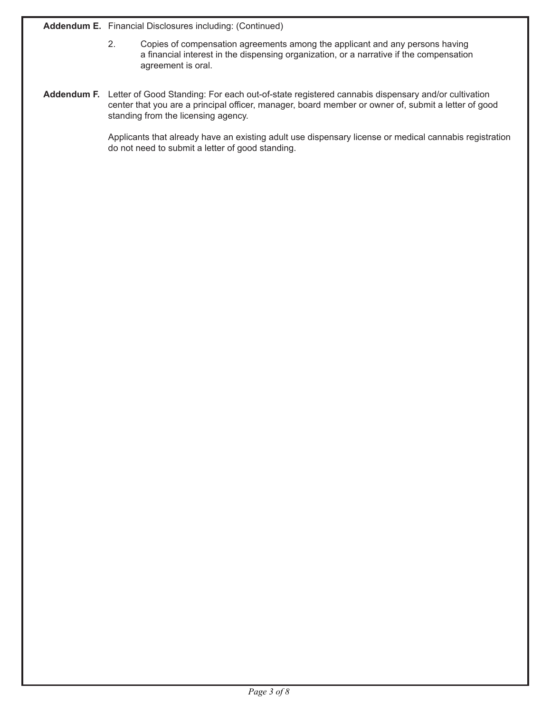**Addendum E.** Financial Disclosures including: (Continued)

- 2. Copies of compensation agreements among the applicant and any persons having a financial interest in the dispensing organization, or a narrative if the compensation agreement is oral.
- **Addendum F.** Letter of Good Standing: For each out-of-state registered cannabis dispensary and/or cultivation center that you are a principal officer, manager, board member or owner of, submit a letter of good standing from the licensing agency.

Applicants that already have an existing adult use dispensary license or medical cannabis registration do not need to submit a letter of good standing.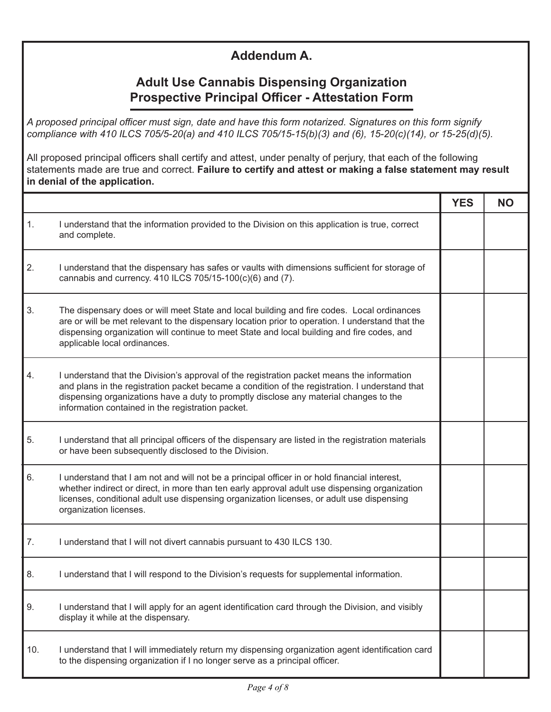## **Addendum A.**

## **Adult Use Cannabis Dispensing Organization Prospective Principal Officer - Attestation Form**

*A proposed principal officer must sign, date and have this form notarized. Signatures on this form signify compliance with 410 ILCS 705/5-20(a) and 410 ILCS 705/15-15(b)(3) and (6), 15-20(c)(14), or 15-25(d)(5).* 

All proposed principal officers shall certify and attest, under penalty of perjury, that each of the following statements made are true and correct. **Failure to certify and attest or making a false statement may result in denial of the application.**

|     |                                                                                                                                                                                                                                                                                                                                            | <b>YES</b> | <b>NO</b> |
|-----|--------------------------------------------------------------------------------------------------------------------------------------------------------------------------------------------------------------------------------------------------------------------------------------------------------------------------------------------|------------|-----------|
| 1.  | I understand that the information provided to the Division on this application is true, correct<br>and complete.                                                                                                                                                                                                                           |            |           |
| 2.  | I understand that the dispensary has safes or vaults with dimensions sufficient for storage of<br>cannabis and currency. 410 ILCS 705/15-100(c)(6) and (7).                                                                                                                                                                                |            |           |
| 3.  | The dispensary does or will meet State and local building and fire codes. Local ordinances<br>are or will be met relevant to the dispensary location prior to operation. I understand that the<br>dispensing organization will continue to meet State and local building and fire codes, and<br>applicable local ordinances.               |            |           |
| 4.  | I understand that the Division's approval of the registration packet means the information<br>and plans in the registration packet became a condition of the registration. I understand that<br>dispensing organizations have a duty to promptly disclose any material changes to the<br>information contained in the registration packet. |            |           |
| 5.  | I understand that all principal officers of the dispensary are listed in the registration materials<br>or have been subsequently disclosed to the Division.                                                                                                                                                                                |            |           |
| 6.  | I understand that I am not and will not be a principal officer in or hold financial interest,<br>whether indirect or direct, in more than ten early approval adult use dispensing organization<br>licenses, conditional adult use dispensing organization licenses, or adult use dispensing<br>organization licenses.                      |            |           |
| 7.  | I understand that I will not divert cannabis pursuant to 430 ILCS 130.                                                                                                                                                                                                                                                                     |            |           |
| 8.  | I understand that I will respond to the Division's requests for supplemental information.                                                                                                                                                                                                                                                  |            |           |
| 9.  | I understand that I will apply for an agent identification card through the Division, and visibly<br>display it while at the dispensary.                                                                                                                                                                                                   |            |           |
| 10. | I understand that I will immediately return my dispensing organization agent identification card<br>to the dispensing organization if I no longer serve as a principal officer.                                                                                                                                                            |            |           |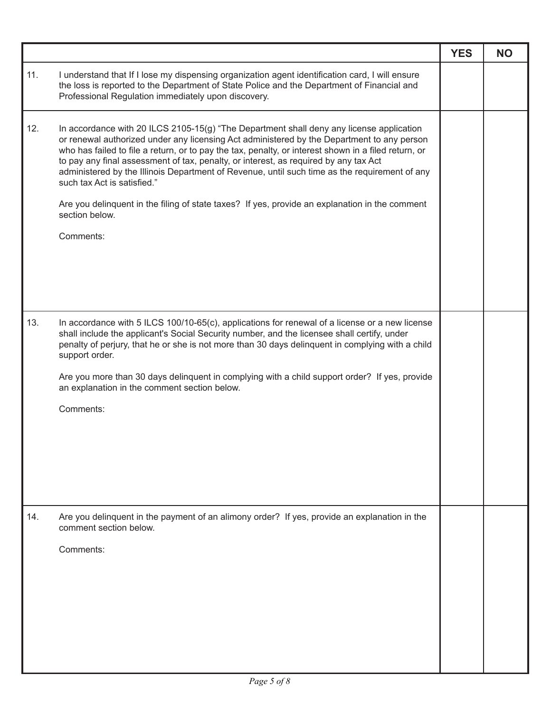|     |                                                                                                                                                                                                                                                                                                                                                                                                                                                                                                                                                                                                                                                         | <b>YES</b> | <b>NO</b> |
|-----|---------------------------------------------------------------------------------------------------------------------------------------------------------------------------------------------------------------------------------------------------------------------------------------------------------------------------------------------------------------------------------------------------------------------------------------------------------------------------------------------------------------------------------------------------------------------------------------------------------------------------------------------------------|------------|-----------|
| 11. | I understand that If I lose my dispensing organization agent identification card, I will ensure<br>the loss is reported to the Department of State Police and the Department of Financial and<br>Professional Regulation immediately upon discovery.                                                                                                                                                                                                                                                                                                                                                                                                    |            |           |
| 12. | In accordance with 20 ILCS 2105-15(g) "The Department shall deny any license application<br>or renewal authorized under any licensing Act administered by the Department to any person<br>who has failed to file a return, or to pay the tax, penalty, or interest shown in a filed return, or<br>to pay any final assessment of tax, penalty, or interest, as required by any tax Act<br>administered by the Illinois Department of Revenue, until such time as the requirement of any<br>such tax Act is satisfied."<br>Are you delinquent in the filing of state taxes? If yes, provide an explanation in the comment<br>section below.<br>Comments: |            |           |
| 13. | In accordance with 5 ILCS 100/10-65(c), applications for renewal of a license or a new license<br>shall include the applicant's Social Security number, and the licensee shall certify, under<br>penalty of perjury, that he or she is not more than 30 days delinquent in complying with a child<br>support order.<br>Are you more than 30 days delinquent in complying with a child support order? If yes, provide<br>an explanation in the comment section below.<br>Comments:                                                                                                                                                                       |            |           |
| 14. | Are you delinquent in the payment of an alimony order? If yes, provide an explanation in the<br>comment section below.<br>Comments:                                                                                                                                                                                                                                                                                                                                                                                                                                                                                                                     |            |           |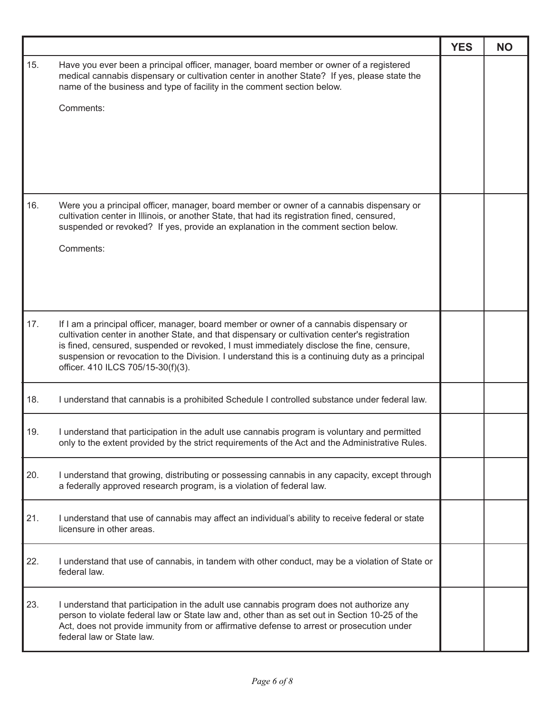|     |                                                                                                                                                                                                                                                                                | <b>YES</b> | <b>NO</b> |
|-----|--------------------------------------------------------------------------------------------------------------------------------------------------------------------------------------------------------------------------------------------------------------------------------|------------|-----------|
| 15. | Have you ever been a principal officer, manager, board member or owner of a registered<br>medical cannabis dispensary or cultivation center in another State? If yes, please state the<br>name of the business and type of facility in the comment section below.              |            |           |
|     | Comments:                                                                                                                                                                                                                                                                      |            |           |
|     |                                                                                                                                                                                                                                                                                |            |           |
|     |                                                                                                                                                                                                                                                                                |            |           |
|     |                                                                                                                                                                                                                                                                                |            |           |
| 16. |                                                                                                                                                                                                                                                                                |            |           |
|     | Were you a principal officer, manager, board member or owner of a cannabis dispensary or<br>cultivation center in Illinois, or another State, that had its registration fined, censured,<br>suspended or revoked? If yes, provide an explanation in the comment section below. |            |           |
|     | Comments:                                                                                                                                                                                                                                                                      |            |           |
|     |                                                                                                                                                                                                                                                                                |            |           |
|     |                                                                                                                                                                                                                                                                                |            |           |
| 17. | If I am a principal officer, manager, board member or owner of a cannabis dispensary or                                                                                                                                                                                        |            |           |
|     | cultivation center in another State, and that dispensary or cultivation center's registration<br>is fined, censured, suspended or revoked, I must immediately disclose the fine, censure,                                                                                      |            |           |
|     | suspension or revocation to the Division. I understand this is a continuing duty as a principal<br>officer. 410 ILCS 705/15-30(f)(3).                                                                                                                                          |            |           |
| 18. | I understand that cannabis is a prohibited Schedule I controlled substance under federal law.                                                                                                                                                                                  |            |           |
| 19. | I understand that participation in the adult use cannabis program is voluntary and permitted<br>only to the extent provided by the strict requirements of the Act and the Administrative Rules.                                                                                |            |           |
| 20. | I understand that growing, distributing or possessing cannabis in any capacity, except through<br>a federally approved research program, is a violation of federal law.                                                                                                        |            |           |
| 21. | I understand that use of cannabis may affect an individual's ability to receive federal or state<br>licensure in other areas.                                                                                                                                                  |            |           |
|     |                                                                                                                                                                                                                                                                                |            |           |
| 22. | I understand that use of cannabis, in tandem with other conduct, may be a violation of State or<br>federal law.                                                                                                                                                                |            |           |
| 23. | I understand that participation in the adult use cannabis program does not authorize any                                                                                                                                                                                       |            |           |
|     | person to violate federal law or State law and, other than as set out in Section 10-25 of the<br>Act, does not provide immunity from or affirmative defense to arrest or prosecution under<br>federal law or State law.                                                        |            |           |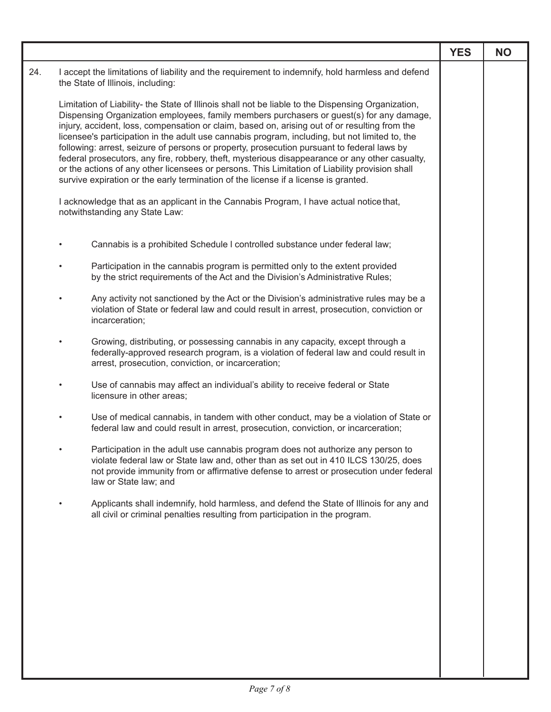|     |                                                                                                                                                                                                                                                                                                                                                                                                                                                                                                                                                                                                                                                                                                                                                                                            | <b>YES</b> | <b>NO</b> |
|-----|--------------------------------------------------------------------------------------------------------------------------------------------------------------------------------------------------------------------------------------------------------------------------------------------------------------------------------------------------------------------------------------------------------------------------------------------------------------------------------------------------------------------------------------------------------------------------------------------------------------------------------------------------------------------------------------------------------------------------------------------------------------------------------------------|------------|-----------|
| 24. | I accept the limitations of liability and the requirement to indemnify, hold harmless and defend<br>the State of Illinois, including:                                                                                                                                                                                                                                                                                                                                                                                                                                                                                                                                                                                                                                                      |            |           |
|     | Limitation of Liability- the State of Illinois shall not be liable to the Dispensing Organization,<br>Dispensing Organization employees, family members purchasers or guest(s) for any damage,<br>injury, accident, loss, compensation or claim, based on, arising out of or resulting from the<br>licensee's participation in the adult use cannabis program, including, but not limited to, the<br>following: arrest, seizure of persons or property, prosecution pursuant to federal laws by<br>federal prosecutors, any fire, robbery, theft, mysterious disappearance or any other casualty,<br>or the actions of any other licensees or persons. This Limitation of Liability provision shall<br>survive expiration or the early termination of the license if a license is granted. |            |           |
|     | I acknowledge that as an applicant in the Cannabis Program, I have actual notice that,<br>notwithstanding any State Law:                                                                                                                                                                                                                                                                                                                                                                                                                                                                                                                                                                                                                                                                   |            |           |
|     | Cannabis is a prohibited Schedule I controlled substance under federal law;                                                                                                                                                                                                                                                                                                                                                                                                                                                                                                                                                                                                                                                                                                                |            |           |
|     | Participation in the cannabis program is permitted only to the extent provided<br>by the strict requirements of the Act and the Division's Administrative Rules;                                                                                                                                                                                                                                                                                                                                                                                                                                                                                                                                                                                                                           |            |           |
|     | Any activity not sanctioned by the Act or the Division's administrative rules may be a<br>violation of State or federal law and could result in arrest, prosecution, conviction or<br>incarceration;                                                                                                                                                                                                                                                                                                                                                                                                                                                                                                                                                                                       |            |           |
|     | Growing, distributing, or possessing cannabis in any capacity, except through a<br>federally-approved research program, is a violation of federal law and could result in<br>arrest, prosecution, conviction, or incarceration;                                                                                                                                                                                                                                                                                                                                                                                                                                                                                                                                                            |            |           |
|     | Use of cannabis may affect an individual's ability to receive federal or State<br>licensure in other areas;                                                                                                                                                                                                                                                                                                                                                                                                                                                                                                                                                                                                                                                                                |            |           |
|     | Use of medical cannabis, in tandem with other conduct, may be a violation of State or<br>federal law and could result in arrest, prosecution, conviction, or incarceration;                                                                                                                                                                                                                                                                                                                                                                                                                                                                                                                                                                                                                |            |           |
|     | Participation in the adult use cannabis program does not authorize any person to<br>violate federal law or State law and, other than as set out in 410 ILCS 130/25, does<br>not provide immunity from or affirmative defense to arrest or prosecution under federal<br>law or State law; and                                                                                                                                                                                                                                                                                                                                                                                                                                                                                               |            |           |
|     | Applicants shall indemnify, hold harmless, and defend the State of Illinois for any and<br>all civil or criminal penalties resulting from participation in the program.                                                                                                                                                                                                                                                                                                                                                                                                                                                                                                                                                                                                                    |            |           |
|     |                                                                                                                                                                                                                                                                                                                                                                                                                                                                                                                                                                                                                                                                                                                                                                                            |            |           |
|     |                                                                                                                                                                                                                                                                                                                                                                                                                                                                                                                                                                                                                                                                                                                                                                                            |            |           |
|     |                                                                                                                                                                                                                                                                                                                                                                                                                                                                                                                                                                                                                                                                                                                                                                                            |            |           |
|     |                                                                                                                                                                                                                                                                                                                                                                                                                                                                                                                                                                                                                                                                                                                                                                                            |            |           |
|     |                                                                                                                                                                                                                                                                                                                                                                                                                                                                                                                                                                                                                                                                                                                                                                                            |            |           |